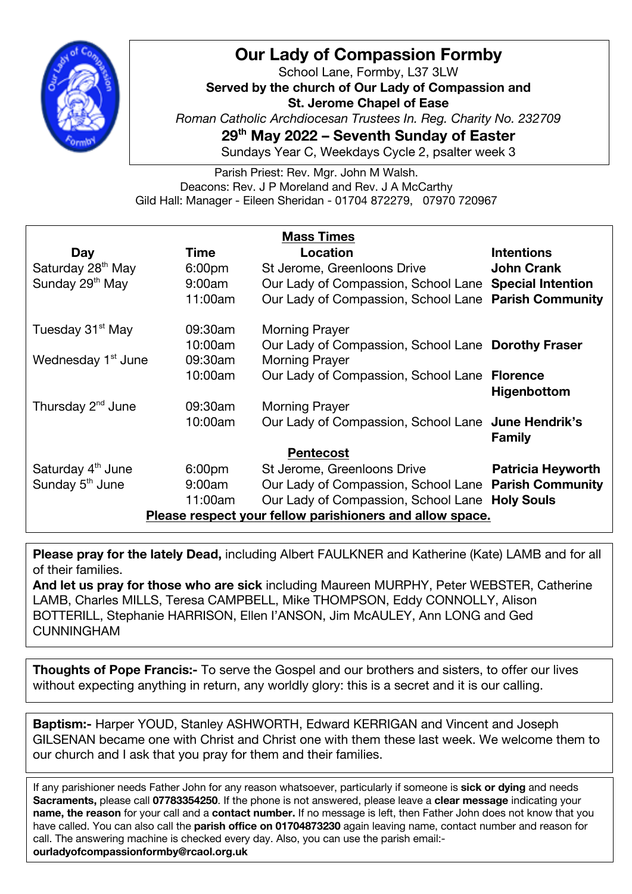

## **Our Lady of Compassion Formby**

School Lane, Formby, L37 3LW **Served by the church of Our Lady of Compassion and St. Jerome Chapel of Ease** *Roman Catholic Archdiocesan Trustees In. Reg. Charity No. 232709* **29th May 2022 – Seventh Sunday of Easter**

Sundays Year C, Weekdays Cycle 2, psalter week 3

Parish Priest: Rev. Mgr. John M Walsh. Deacons: Rev. J P Moreland and Rev. J A McCarthy Gild Hall: Manager - Eileen Sheridan - 01704 872279, 07970 720967

| <b>Mass Times</b>                                        |                    |                                                       |                          |
|----------------------------------------------------------|--------------------|-------------------------------------------------------|--------------------------|
| Day                                                      | Time               | Location                                              | <b>Intentions</b>        |
| Saturday 28 <sup>th</sup> May                            | 6:00pm             | St Jerome, Greenloons Drive                           | <b>John Crank</b>        |
| Sunday 29 <sup>th</sup> May                              | 9:00am             | Our Lady of Compassion, School Lane Special Intention |                          |
|                                                          | 11:00am            | Our Lady of Compassion, School Lane Parish Community  |                          |
| Tuesday 31 <sup>st</sup> May                             | 09:30am            | <b>Morning Prayer</b>                                 |                          |
|                                                          | 10:00am            | Our Lady of Compassion, School Lane Dorothy Fraser    |                          |
| Wednesday 1 <sup>st</sup> June                           | 09:30am            | <b>Morning Prayer</b>                                 |                          |
|                                                          | 10:00am            | Our Lady of Compassion, School Lane Florence          | Higenbottom              |
| Thursday 2 <sup>nd</sup> June                            | 09:30am            | <b>Morning Prayer</b>                                 |                          |
|                                                          | 10:00am            | Our Lady of Compassion, School Lane June Hendrik's    | <b>Family</b>            |
| <b>Pentecost</b>                                         |                    |                                                       |                          |
| Saturday 4 <sup>th</sup> June                            | 6:00 <sub>pm</sub> | St Jerome, Greenloons Drive                           | <b>Patricia Heyworth</b> |
| Sunday 5 <sup>th</sup> June                              | 9:00am             | Our Lady of Compassion, School Lane Parish Community  |                          |
|                                                          | 11:00am            | Our Lady of Compassion, School Lane Holy Souls        |                          |
| Please respect your fellow parishioners and allow space. |                    |                                                       |                          |

**Please pray for the lately Dead,** including Albert FAULKNER and Katherine (Kate) LAMB and for all of their families.

**And let us pray for those who are sick** including Maureen MURPHY, Peter WEBSTER, Catherine LAMB, Charles MILLS, Teresa CAMPBELL, Mike THOMPSON, Eddy CONNOLLY, Alison BOTTERILL, Stephanie HARRISON, Ellen I'ANSON, Jim McAULEY, Ann LONG and Ged CUNNINGHAM

**Thoughts of Pope Francis:-** To serve the Gospel and our brothers and sisters, to offer our lives without expecting anything in return, any worldly glory: this is a secret and it is our calling.

**Baptism:-** Harper YOUD, Stanley ASHWORTH, Edward KERRIGAN and Vincent and Joseph GILSENAN became one with Christ and Christ one with them these last week. We welcome them to our church and I ask that you pray for them and their families.

If any parishioner needs Father John for any reason whatsoever, particularly if someone is **sick or dying** and needs **Sacraments,** please call **07783354250**. If the phone is not answered, please leave a **clear message** indicating your **name, the reason** for your call and a **contact number.** If no message is left, then Father John does not know that you have called. You can also call the **parish office on 01704873230** again leaving name, contact number and reason for call. The answering machine is checked every day. Also, you can use the parish email: **ourladyofcompassionformby@rcaol.org.uk**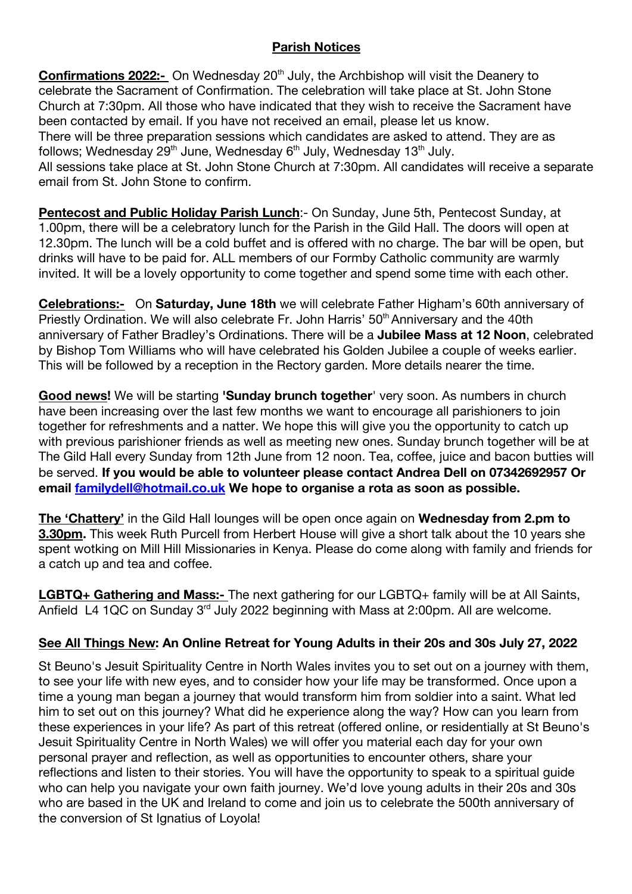## **Parish Notices**

**Confirmations 2022:-** On Wednesday 20<sup>th</sup> July, the Archbishop will visit the Deanery to celebrate the Sacrament of Confirmation. The celebration will take place at St. John Stone Church at 7:30pm. All those who have indicated that they wish to receive the Sacrament have been contacted by email. If you have not received an email, please let us know. There will be three preparation sessions which candidates are asked to attend. They are as follows; Wednesday 29<sup>th</sup> June, Wednesday 6<sup>th</sup> July, Wednesday 13<sup>th</sup> July. All sessions take place at St. John Stone Church at 7:30pm. All candidates will receive a separate email from St. John Stone to confirm.

**Pentecost and Public Holiday Parish Lunch**:- On Sunday, June 5th, Pentecost Sunday, at 1.00pm, there will be a celebratory lunch for the Parish in the Gild Hall. The doors will open at 12.30pm. The lunch will be a cold buffet and is offered with no charge. The bar will be open, but drinks will have to be paid for. ALL members of our Formby Catholic community are warmly invited. It will be a lovely opportunity to come together and spend some time with each other.

**Celebrations:-** On **Saturday, June 18th** we will celebrate Father Higham's 60th anniversary of Priestly Ordination. We will also celebrate Fr. John Harris' 50<sup>th</sup> Anniversary and the 40th anniversary of Father Bradley's Ordinations. There will be a **Jubilee Mass at 12 Noon**, celebrated by Bishop Tom Williams who will have celebrated his Golden Jubilee a couple of weeks earlier. This will be followed by a reception in the Rectory garden. More details nearer the time.

**Good news!** We will be starting **'Sunday brunch together**' very soon. As numbers in church have been increasing over the last few months we want to encourage all parishioners to join together for refreshments and a natter. We hope this will give you the opportunity to catch up with previous parishioner friends as well as meeting new ones. Sunday brunch together will be at The Gild Hall every Sunday from 12th June from 12 noon. Tea, coffee, juice and bacon butties will be served. **If you would be able to volunteer please contact Andrea Dell on 07342692957 Or email familydell@hotmail.co.uk We hope to organise a rota as soon as possible.**

**The 'Chattery'** in the Gild Hall lounges will be open once again on **Wednesday from 2.pm to 3.30pm.** This week Ruth Purcell from Herbert House will give a short talk about the 10 years she spent wotking on Mill Hill Missionaries in Kenya. Please do come along with family and friends for a catch up and tea and coffee.

**LGBTQ+ Gathering and Mass:-** The next gathering for our LGBTQ+ family will be at All Saints, Anfield L4 1QC on Sunday 3<sup>rd</sup> July 2022 beginning with Mass at 2:00pm. All are welcome.

## **See All Things New: An Online Retreat for Young Adults in their 20s and 30s July 27, 2022**

St Beuno's Jesuit Spirituality Centre in North Wales invites you to set out on a journey with them, to see your life with new eyes, and to consider how your life may be transformed. Once upon a time a young man began a journey that would transform him from soldier into a saint. What led him to set out on this journey? What did he experience along the way? How can you learn from these experiences in your life? As part of this retreat (offered online, or residentially at St Beuno's Jesuit Spirituality Centre in North Wales) we will offer you material each day for your own personal prayer and reflection, as well as opportunities to encounter others, share your reflections and listen to their stories. You will have the opportunity to speak to a spiritual guide who can help you navigate your own faith journey. We'd love young adults in their 20s and 30s who are based in the UK and Ireland to come and join us to celebrate the 500th anniversary of the conversion of St Ignatius of Loyola!